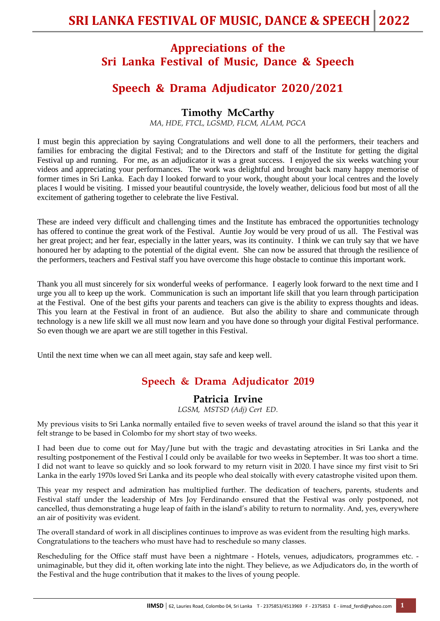## **Appreciations of the Sri Lanka Festival of Music, Dance & Speech**

## **Speech & Drama Adjudicator 2020/2021**

## **Timothy McCarthy**

*MA, HDE, FTCL, LGSMD, FLCM, ALAM, PGCA*

I must begin this appreciation by saying Congratulations and well done to all the performers, their teachers and families for embracing the digital Festival; and to the Directors and staff of the Institute for getting the digital Festival up and running. For me, as an adjudicator it was a great success. I enjoyed the six weeks watching your videos and appreciating your performances. The work was delightful and brought back many happy memorise of former times in Sri Lanka. Each day I looked forward to your work, thought about your local centres and the lovely places I would be visiting. I missed your beautiful countryside, the lovely weather, delicious food but most of all the excitement of gathering together to celebrate the live Festival.

These are indeed very difficult and challenging times and the Institute has embraced the opportunities technology has offered to continue the great work of the Festival. Auntie Joy would be very proud of us all. The Festival was her great project; and her fear, especially in the latter years, was its continuity. I think we can truly say that we have honoured her by adapting to the potential of the digital event. She can now be assured that through the resilience of the performers, teachers and Festival staff you have overcome this huge obstacle to continue this important work.

Thank you all must sincerely for six wonderful weeks of performance. I eagerly look forward to the next time and I urge you all to keep up the work. Communication is such an important life skill that you learn through participation at the Festival. One of the best gifts your parents and teachers can give is the ability to express thoughts and ideas. This you learn at the Festival in front of an audience. But also the ability to share and communicate through technology is a new life skill we all must now learn and you have done so through your digital Festival performance. So even though we are apart we are still together in this Festival.

Until the next time when we can all meet again, stay safe and keep well.

## **Speech & Drama Adjudicator 2019**

### **Patricia Irvine**

*LGSM, MSTSD (Adj) Cert ED.*

My previous visits to Sri Lanka normally entailed five to seven weeks of travel around the island so that this year it felt strange to be based in Colombo for my short stay of two weeks.

I had been due to come out for May/June but with the tragic and devastating atrocities in Sri Lanka and the resulting postponement of the Festival I could only be available for two weeks in September. It was too short a time. I did not want to leave so quickly and so look forward to my return visit in 2020. I have since my first visit to Sri Lanka in the early 1970s loved Sri Lanka and its people who deal stoically with every catastrophe visited upon them.

This year my respect and admiration has multiplied further. The dedication of teachers, parents, students and Festival staff under the leadership of Mrs Joy Ferdinando ensured that the Festival was only postponed, not cancelled, thus demonstrating a huge leap of faith in the island's ability to return to normality. And, yes, everywhere an air of positivity was evident.

The overall standard of work in all disciplines continues to improve as was evident from the resulting high marks. Congratulations to the teachers who must have had to reschedule so many classes.

Rescheduling for the Office staff must have been a nightmare - Hotels, venues, adjudicators, programmes etc. unimaginable, but they did it, often working late into the night. They believe, as we Adjudicators do, in the worth of the Festival and the huge contribution that it makes to the lives of young people.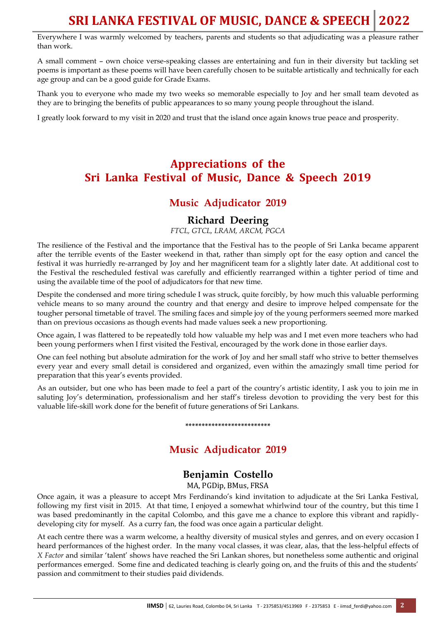## **SRI LANKA FESTIVAL OF MUSIC, DANCE & SPEECH 2022**

Everywhere I was warmly welcomed by teachers, parents and students so that adjudicating was a pleasure rather than work.

A small comment – own choice verse-speaking classes are entertaining and fun in their diversity but tackling set poems is important as these poems will have been carefully chosen to be suitable artistically and technically for each age group and can be a good guide for Grade Exams.

Thank you to everyone who made my two weeks so memorable especially to Joy and her small team devoted as they are to bringing the benefits of public appearances to so many young people throughout the island.

I greatly look forward to my visit in 2020 and trust that the island once again knows true peace and prosperity.

## **Appreciations of the Sri Lanka Festival of Music, Dance & Speech 2019**

## **Music Adjudicator 2019**

#### **Richard Deering**

*FTCL, GTCL, LRAM, ARCM, PGCA*

The resilience of the Festival and the importance that the Festival has to the people of Sri Lanka became apparent after the terrible events of the Easter weekend in that, rather than simply opt for the easy option and cancel the festival it was hurriedly re-arranged by Joy and her magnificent team for a slightly later date. At additional cost to the Festival the rescheduled festival was carefully and efficiently rearranged within a tighter period of time and using the available time of the pool of adjudicators for that new time.

Despite the condensed and more tiring schedule I was struck, quite forcibly, by how much this valuable performing vehicle means to so many around the country and that energy and desire to improve helped compensate for the tougher personal timetable of travel. The smiling faces and simple joy of the young performers seemed more marked than on previous occasions as though events had made values seek a new proportioning.

Once again, I was flattered to be repeatedly told how valuable my help was and I met even more teachers who had been young performers when I first visited the Festival, encouraged by the work done in those earlier days.

One can feel nothing but absolute admiration for the work of Joy and her small staff who strive to better themselves every year and every small detail is considered and organized, even within the amazingly small time period for preparation that this year's events provided.

As an outsider, but one who has been made to feel a part of the country's artistic identity, I ask you to join me in saluting Joy's determination, professionalism and her staff's tireless devotion to providing the very best for this valuable life-skill work done for the benefit of future generations of Sri Lankans.

## **Music Adjudicator 2019**

**\*\*\*\*\*\*\*\*\*\*\*\*\*\*\*\*\*\*\*\*\*\*\*\*\*\***

## **Benjamin Costello**

MA, PGDip, BMus, FRSA

Once again, it was a pleasure to accept Mrs Ferdinando's kind invitation to adjudicate at the Sri Lanka Festival, following my first visit in 2015. At that time, I enjoyed a somewhat whirlwind tour of the country, but this time I was based predominantly in the capital Colombo, and this gave me a chance to explore this vibrant and rapidlydeveloping city for myself. As a curry fan, the food was once again a particular delight.

At each centre there was a warm welcome, a healthy diversity of musical styles and genres, and on every occasion I heard performances of the highest order. In the many vocal classes, it was clear, alas, that the less-helpful effects of *X Factor* and similar 'talent' shows have reached the Sri Lankan shores, but nonetheless some authentic and original performances emerged. Some fine and dedicated teaching is clearly going on, and the fruits of this and the students' passion and commitment to their studies paid dividends.